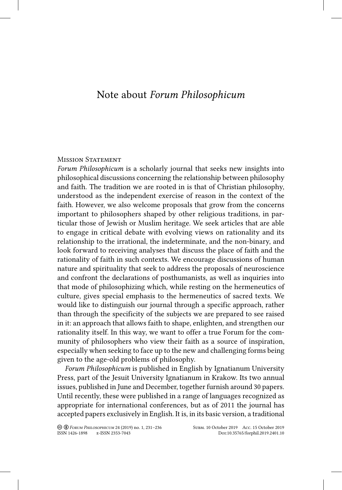# Note about *Forum Philosophicum*

# **MISSION STATEMENT**

*Forum Philosophicum* is a scholarly journal that seeks new insights into philosophical discussions concerning the relationship between philosophy and faith. The tradition we are rooted in is that of Christian philosophy, understood as the independent exercise of reason in the context of the faith. However, we also welcome proposals that grow from the concerns important to philosophers shaped by other religious traditions, in particular those of Jewish or Muslim heritage. We seek articles that are able to engage in critical debate with evolving views on rationality and its relationship to the irrational, the indeterminate, and the non-binary, and look forward to receiving analyses that discuss the place of faith and the rationality of faith in such contexts. We encourage discussions of human nature and spirituality that seek to address the proposals of neuroscience and confront the declarations of posthumanists, as well as inquiries into that mode of philosophizing which, while resting on the hermeneutics of culture, gives special emphasis to the hermeneutics of sacred texts. We would like to distinguish our journal through a specific approach, rather than through the specificity of the subjects we are prepared to see raised in it: an approach that allows faith to shape, enlighten, and strengthen our rationality itself. In this way, we want to offer a true Forum for the community of philosophers who view their faith as a source of inspiration, especially when seeking to face up to the new and challenging forms being given to the age-old problems of philosophy.

*Forum Philosophicum* is published in English by Ignatianum University Press, part of the Jesuit University Ignatianum in Krakow. Its two annual issues, published in June and December, together furnish around 30 papers. Until recently, these were published in a range of languages recognized as appropriate for international conferences, but as of 2011 the journal has accepted papers exclusively in English. It is, in its basic version, a traditional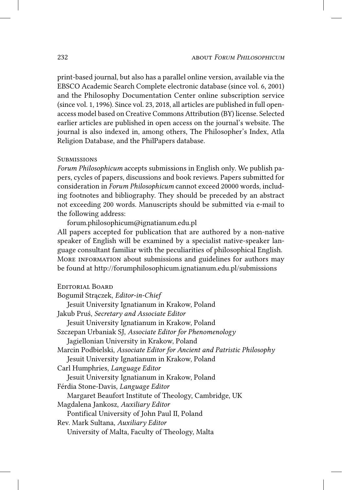print-based journal, but also has a parallel online version, available via the EBSCO Academic Search Complete electronic database (since vol. 6, 2001) and the Philosophy Documentation Center online subscription service (since vol. 1, 1996). Since vol. 23, 2018, all articles are published in full openaccess model based on Creative Commons Attribution (BY) license. Selected earlier articles are published in open access on the journal's website. The journal is also indexed in, among others, The Philosopher's Index, Atla Religion Database, and the PhilPapers database.

#### **SUBMISSIONS**

*Forum Philosophicum* accepts submissions in English only. We publish papers, cycles of papers, discussions and book reviews. Papers submitted for consideration in *Forum Philosophicum* cannot exceed 20000 words, including footnotes and bibliography. They should be preceded by an abstract not exceeding 200 words. Manuscripts should be submitted via e-mail to the following address:

forum.philosophicum@ignatianum.edu.pl All papers accepted for publication that are authored by a non-native speaker of English will be examined by a specialist native-speaker language consultant familiar with the peculiarities of philosophical English. MORE INFORMATION about submissions and guidelines for authors may be found at http://forumphilosophicum.ignatianum.edu.pl/submissions

# Editorial Board

Bogumił Strączek, *Editor-in-Chief* Jesuit University Ignatianum in Krakow, Poland Jakub Pruś, *Secretary and Associate Editor*  Jesuit University Ignatianum in Krakow, Poland Szczepan Urbaniak SJ, *Associate Editor for Phenomenology* Jagiellonian University in Krakow, Poland Marcin Podbielski, *Associate Editor for Ancient and Patristic Philosophy* Jesuit University Ignatianum in Krakow, Poland Carl Humphries, *Language Editor*  Jesuit University Ignatianum in Krakow, Poland Férdia Stone-Davis, *Language Editor*  Margaret Beaufort Institute of Theology, Cambridge, UK Magdalena Jankosz, *Auxiliary Editor*  Pontifical University of John Paul II, Poland Rev. Mark Sultana, *Auxiliary Editor* University of Malta, Faculty of Theology, Malta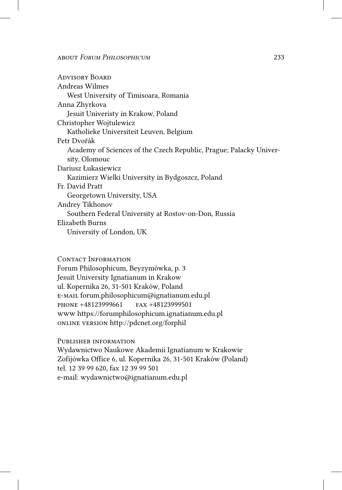Advisory Board Andreas Wilmes West University of Timisoara, Romania Anna Zhyrkova Jesuit Univeristy in Krakow, Poland Christopher Wojtulewicz Katholieke Universiteit Leuven, Belgium Petr Dvořák Academy of Sciences of the Czech Republic, Prague; Palacky University, Olomouc Dariusz Łukasiewicz Kazimierz Wielki University in Bydgoszcz, Poland Fr. David Pratt Georgetown University, USA Andrey Tikhonov Southern Federal University at Rostov-on-Don, Russia Elizabeth Burns University of London, UK

# CONTACT INFORMATION

Forum Philosophicum, Beyzymówka, p. 3 Jesuit University Ignatianum in Krakow ul. Kopernika 26, 31-501 Kraków, Poland e-mail forum.philosophicum@ignatianum.edu.pl phone +48123999661 fax +48123999501 www https://forumphilosophicum.ignatianum.edu.pl online version http://pdcnet.org/forphil

### Publisher information

Wydawnictwo Naukowe Akademii Ignatianum w Krakowie Zofijówka Office 6, ul. Kopernika 26, 31-501 Kraków (Poland) tel. 12 39 99 620, fax 12 39 99 501 e-mail: wydawnictwo@ignatianum.edu.pl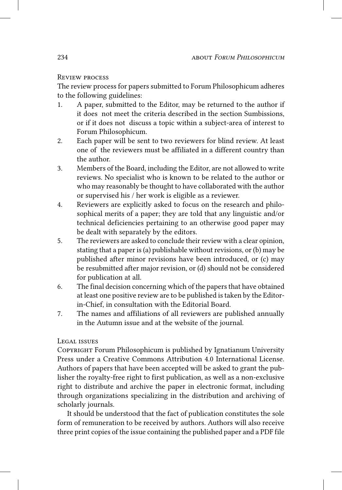# Review process

The review process for papers submitted to Forum Philosophicum adheres to the following guidelines:

- 1. A paper, submitted to the Editor, may be returned to the author if it does not meet the criteria described in the section Sumbissions, or if it does not discuss a topic within a subject-area of interest to Forum Philosophicum.
- 2. Each paper will be sent to two reviewers for blind review. At least one of the reviewers must be affiliated in a different country than the author.
- 3. Members of the Board, including the Editor, are not allowed to write reviews. No specialist who is known to be related to the author or who may reasonably be thought to have collaborated with the author or supervised his / her work is eligible as a reviewer.
- 4. Reviewers are explicitly asked to focus on the research and philosophical merits of a paper; they are told that any linguistic and/or technical deficiencies pertaining to an otherwise good paper may be dealt with separately by the editors.
- 5. The reviewers are asked to conclude their review with a clear opinion, stating that a paper is (a) publishable without revisions, or (b) may be published after minor revisions have been introduced, or (c) may be resubmitted after major revision, or (d) should not be considered for publication at all.
- 6. The final decision concerning which of the papers that have obtained at least one positive review are to be published is taken by the Editorin-Chief, in consultation with the Editorial Board.
- 7. The names and affiliations of all reviewers are published annually in the Autumn issue and at the website of the journal.

# Legal issues

COPYRIGHT Forum Philosophicum is published by Ignatianum University Press under a Creative Commons Attribution 4.0 International License. Authors of papers that have been accepted will be asked to grant the publisher the royalty-free right to first publication, as well as a non-exclusive right to distribute and archive the paper in electronic format, including through organizations specializing in the distribution and archiving of scholarly journals.

It should be understood that the fact of publication constitutes the sole form of remuneration to be received by authors. Authors will also receive three print copies of the issue containing the published paper and a PDF file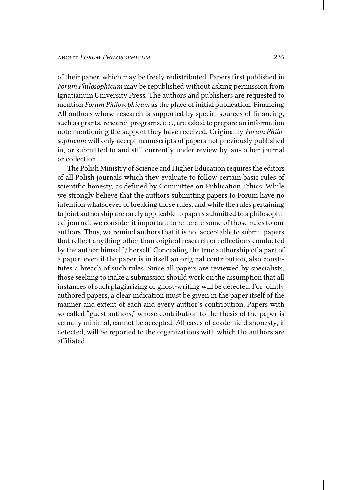of their paper, which may be freely redistributed. Papers first published in *Forum Philosophicum* may be republished without asking permission from Ignatianum University Press. The authors and publishers are requested to mention *Forum Philosophicum* as the place of initial publication. Financing All authors whose research is supported by special sources of financing, such as grants, research programs, etc., are asked to prepare an information note mentioning the support they have received. Originality *Forum Philosophicum* will only accept manuscripts of papers not previously published in, or submitted to and still currently under review by, an- other journal or collection.

The Polish Ministry of Science and Higher Education requires the editors of all Polish journals which they evaluate to follow certain basic rules of scientific honesty, as defined by Committee on Publication Ethics. While we strongly believe that the authors submitting papers to Forum have no intention whatsoever of breaking those rules, and while the rules pertaining to joint authorship are rarely applicable to papers submitted to a philosophical journal, we consider it important to reiterate some of those rules to our authors. Thus, we remind authors that it is not acceptable to submit papers that reflect anything other than original research or reflections conducted by the author himself / herself. Concealing the true authorship of a part of a paper, even if the paper is in itself an original contribution, also constitutes a breach of such rules. Since all papers are reviewed by specialists, those seeking to make a submission should work on the assumption that all instances of such plagiarizing or ghost-writing will be detected. For jointly authored papers, a clear indication must be given in the paper itself of the manner and extent of each and every author's contribution. Papers with so-called "guest authors," whose contribution to the thesis of the paper is actually minimal, cannot be accepted. All cases of academic dishonesty, if detected, will be reported to the organizations with which the authors are affiliated.